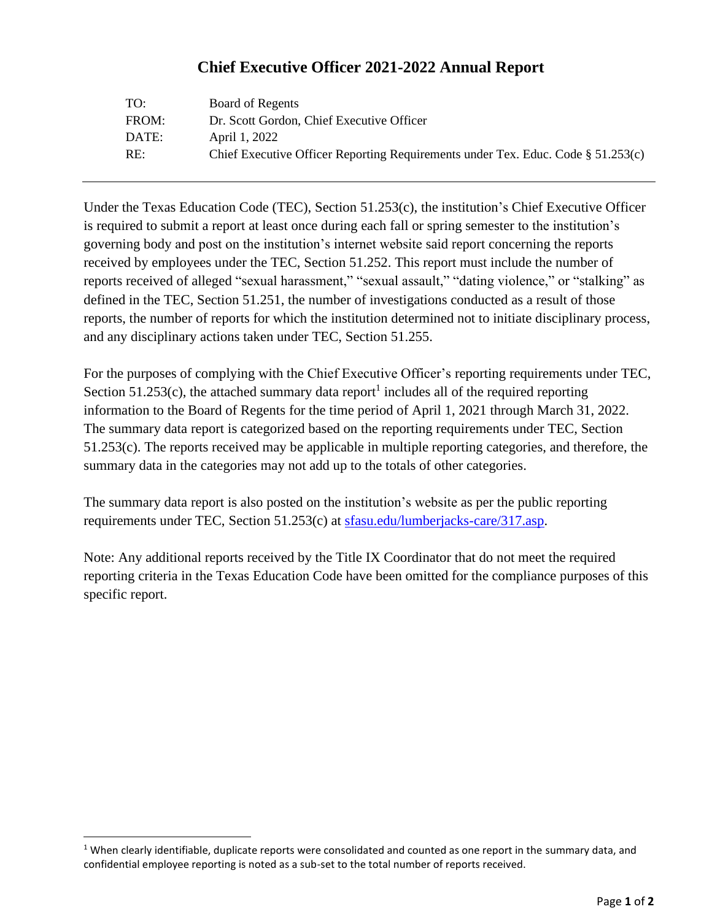## **Chief Executive Officer 2021-2022 Annual Report**

| TO:   | Board of Regents                                                                    |
|-------|-------------------------------------------------------------------------------------|
| FROM: | Dr. Scott Gordon, Chief Executive Officer                                           |
| DATE: | April 1, 2022                                                                       |
| RE:   | Chief Executive Officer Reporting Requirements under Tex. Educ. Code $\S 51.253(c)$ |

Under the Texas Education Code (TEC), Section 51.253(c), the institution's Chief Executive Officer is required to submit a report at least once during each fall or spring semester to the institution's governing body and post on the institution's internet website said report concerning the reports received by employees under the TEC, Section 51.252. This report must include the number of reports received of alleged "sexual harassment," "sexual assault," "dating violence," or "stalking" as defined in the TEC, Section 51.251, the number of investigations conducted as a result of those reports, the number of reports for which the institution determined not to initiate disciplinary process, and any disciplinary actions taken under TEC, Section 51.255.

For the purposes of complying with the Chief Executive Officer's reporting requirements under TEC, Section  $51.253(c)$ , the attached summary data report<sup>1</sup> includes all of the required reporting information to the Board of Regents for the time period of April 1, 2021 through March 31, 2022. The summary data report is categorized based on the reporting requirements under TEC, Section 51.253(c). The reports received may be applicable in multiple reporting categories, and therefore, the summary data in the categories may not add up to the totals of other categories.

The summary data report is also posted on the institution's website as per the public reporting requirements under TEC, Section 51.253(c) at [sfasu.edu/lumberjacks-care/317.asp.](https://www.sfasu.edu/lumberjacks-care/317.asp)

Note: Any additional reports received by the Title IX Coordinator that do not meet the required reporting criteria in the Texas Education Code have been omitted for the compliance purposes of this specific report.

 $1$  When clearly identifiable, duplicate reports were consolidated and counted as one report in the summary data, and confidential employee reporting is noted as a sub-set to the total number of reports received.